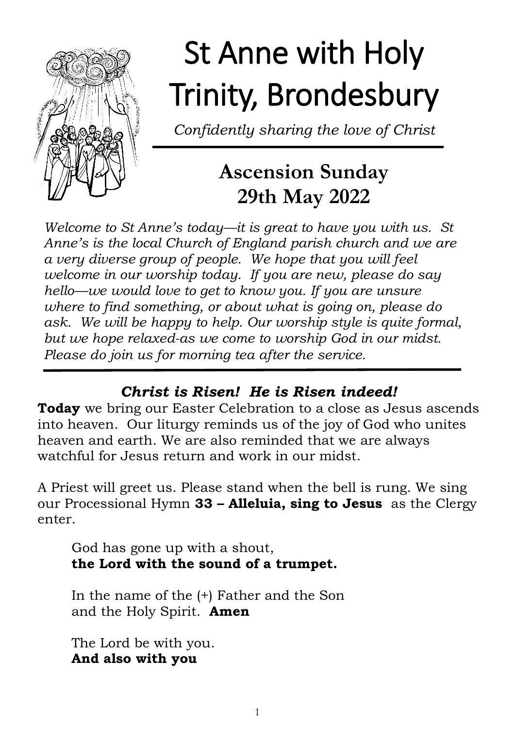

# St Anne with Holy Trinity, Brondesbury

*Confidently sharing the love of Christ*

# **Ascension Sunday 29th May 2022**

*Welcome to St Anne's today—it is great to have you with us. St Anne's is the local Church of England parish church and we are a very diverse group of people. We hope that you will feel welcome in our worship today. If you are new, please do say hello—we would love to get to know you. If you are unsure where to find something, or about what is going on, please do ask. We will be happy to help. Our worship style is quite formal, but we hope relaxed-as we come to worship God in our midst. Please do join us for morning tea after the service.*

# *Christ is Risen! He is Risen indeed!*

**Today** we bring our Easter Celebration to a close as Jesus ascends into heaven. Our liturgy reminds us of the joy of God who unites heaven and earth. We are also reminded that we are always watchful for Jesus return and work in our midst.

A Priest will greet us. Please stand when the bell is rung. We sing our Processional Hymn **33 – Alleluia, sing to Jesus** as the Clergy enter.

God has gone up with a shout, **the Lord with the sound of a trumpet.**

In the name of the (+) Father and the Son and the Holy Spirit. **Amen**

The Lord be with you. **And also with you**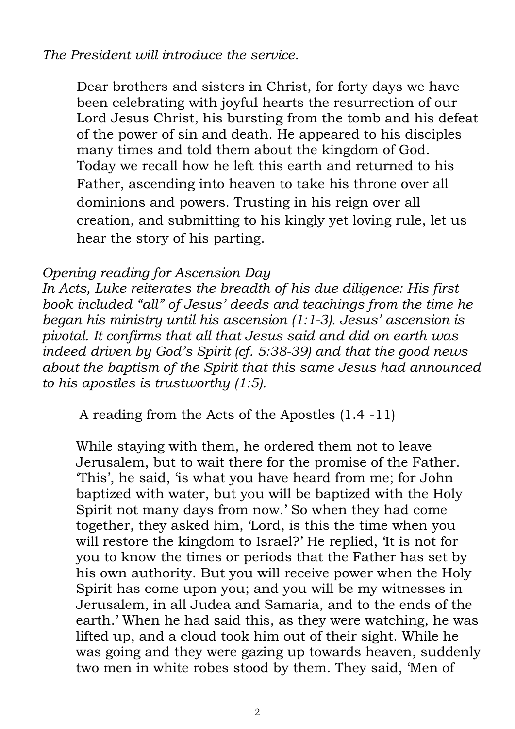### *The President will introduce the service.*

Dear brothers and sisters in Christ, for forty days we have been celebrating with joyful hearts the resurrection of our Lord Jesus Christ, his bursting from the tomb and his defeat of the power of sin and death. He appeared to his disciples many times and told them about the kingdom of God. Today we recall how he left this earth and returned to his Father, ascending into heaven to take his throne over all dominions and powers. Trusting in his reign over all creation, and submitting to his kingly yet loving rule, let us hear the story of his parting.

#### *Opening reading for Ascension Day*

*In Acts, Luke reiterates the breadth of his due diligence: His first book included "all" of Jesus' deeds and teachings from the time he began his ministry until his ascension (1:1-3). Jesus' ascension is pivotal. It confirms that all that Jesus said and did on earth was indeed driven by God's Spirit (cf. 5:38-39) and that the good news about the baptism of the Spirit that this same Jesus had announced to his apostles is trustworthy (1:5).* 

A reading from the Acts of the Apostles (1.4 -11)

While staying with them, he ordered them not to leave Jerusalem, but to wait there for the promise of the Father. 'This', he said, 'is what you have heard from me; for John baptized with water, but you will be baptized with the Holy Spirit not many days from now.' So when they had come together, they asked him, 'Lord, is this the time when you will restore the kingdom to Israel?' He replied, 'It is not for you to know the times or periods that the Father has set by his own authority. But you will receive power when the Holy Spirit has come upon you; and you will be my witnesses in Jerusalem, in all Judea and Samaria, and to the ends of the earth.' When he had said this, as they were watching, he was lifted up, and a cloud took him out of their sight. While he was going and they were gazing up towards heaven, suddenly two men in white robes stood by them. They said, 'Men of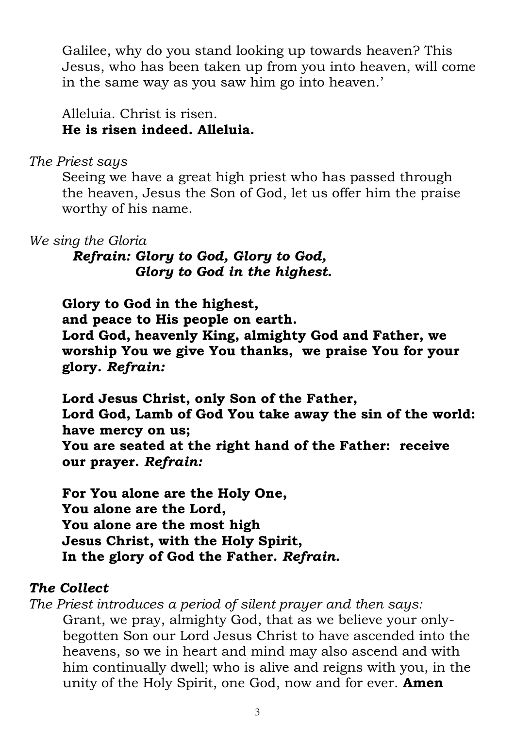Galilee, why do you stand looking up towards heaven? This Jesus, who has been taken up from you into heaven, will come in the same way as you saw him go into heaven.'

Alleluia. Christ is risen. **He is risen indeed. Alleluia.**

#### *The Priest says*

Seeing we have a great high priest who has passed through the heaven, Jesus the Son of God, let us offer him the praise worthy of his name.

#### *We sing the Gloria*

*Refrain: Glory to God, Glory to God, Glory to God in the highest.*

**Glory to God in the highest, and peace to His people on earth. Lord God, heavenly King, almighty God and Father, we worship You we give You thanks, we praise You for your glory.** *Refrain:*

**Lord Jesus Christ, only Son of the Father, Lord God, Lamb of God You take away the sin of the world: have mercy on us; You are seated at the right hand of the Father: receive our prayer.** *Refrain:*

**For You alone are the Holy One, You alone are the Lord, You alone are the most high Jesus Christ, with the Holy Spirit, In the glory of God the Father.** *Refrain.*

#### *The Collect*

*The Priest introduces a period of silent prayer and then says:*  Grant, we pray, almighty God, that as we believe your onlybegotten Son our Lord Jesus Christ to have ascended into the heavens, so we in heart and mind may also ascend and with him continually dwell; who is alive and reigns with you, in the unity of the Holy Spirit, one God, now and for ever. **Amen**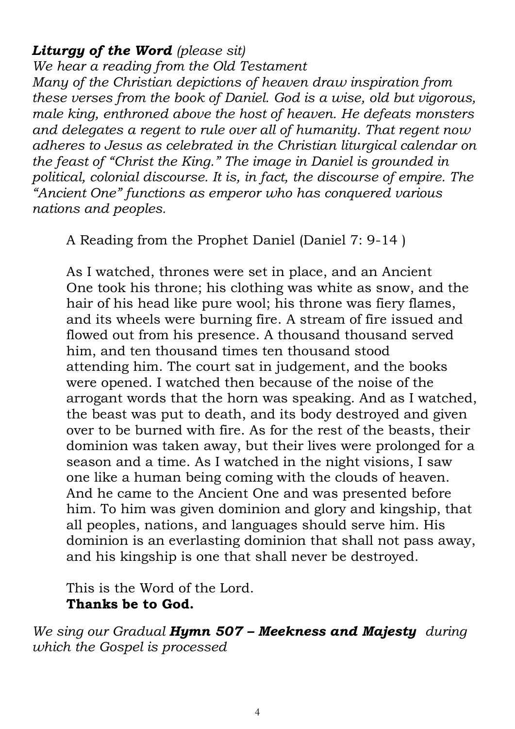#### *Liturgy of the Word (please sit)*

*We hear a reading from the Old Testament Many of the Christian depictions of heaven draw inspiration from these verses from the book of Daniel. God is a wise, old but vigorous, male king, enthroned above the host of heaven. He defeats monsters and delegates a regent to rule over all of humanity. That regent now adheres to Jesus as celebrated in the Christian liturgical calendar on the feast of "Christ the King." The image in Daniel is grounded in political, colonial discourse. It is, in fact, the discourse of empire. The "Ancient One" functions as emperor who has conquered various nations and peoples.*

A Reading from the Prophet Daniel (Daniel 7: 9-14 )

As I watched, thrones were set in place, and an Ancient One took his throne; his clothing was white as snow, and the hair of his head like pure wool; his throne was fiery flames, and its wheels were burning fire. A stream of fire issued and flowed out from his presence. A thousand thousand served him, and ten thousand times ten thousand stood attending him. The court sat in judgement, and the books were opened. I watched then because of the noise of the arrogant words that the horn was speaking. And as I watched, the beast was put to death, and its body destroyed and given over to be burned with fire. As for the rest of the beasts, their dominion was taken away, but their lives were prolonged for a season and a time. As I watched in the night visions, I saw one like a human being coming with the clouds of heaven. And he came to the Ancient One and was presented before him. To him was given dominion and glory and kingship, that all peoples, nations, and languages should serve him. His dominion is an everlasting dominion that shall not pass away, and his kingship is one that shall never be destroyed.

This is the Word of the Lord. **Thanks be to God.** 

*We sing our Gradual Hymn 507 – Meekness and Majesty during which the Gospel is processed*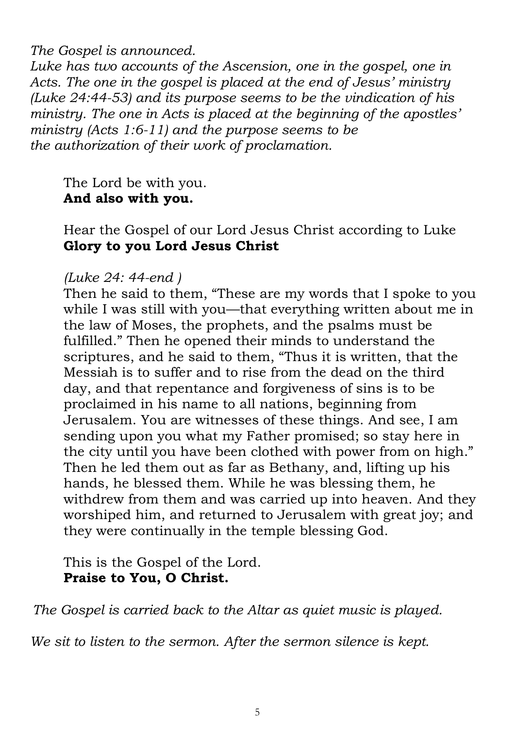*The Gospel is announced.* 

*Luke has two accounts of the Ascension, one in the gospel, one in Acts. The one in the gospel is placed at the end of Jesus' ministry (Luke 24:44-53) and its purpose seems to be the vindication of his ministry. The one in Acts is placed at the beginning of the apostles' ministry (Acts 1:6-11) and the purpose seems to be the authorization of their work of proclamation.* 

The Lord be with you. **And also with you.**

Hear the Gospel of our Lord Jesus Christ according to Luke **Glory to you Lord Jesus Christ**

#### *(Luke 24: 44-end )*

Then he said to them, "These are my words that I spoke to you while I was still with you—that everything written about me in the law of Moses, the prophets, and the psalms must be fulfilled." Then he opened their minds to understand the scriptures, and he said to them, "Thus it is written, that the Messiah is to suffer and to rise from the dead on the third day, and that repentance and forgiveness of sins is to be proclaimed in his name to all nations, beginning from Jerusalem. You are witnesses of these things. And see, I am sending upon you what my Father promised; so stay here in the city until you have been clothed with power from on high." Then he led them out as far as Bethany, and, lifting up his hands, he blessed them. While he was blessing them, he withdrew from them and was carried up into heaven. And they worshiped him, and returned to Jerusalem with great joy; and they were continually in the temple blessing God.

This is the Gospel of the Lord. **Praise to You, O Christ.**

*The Gospel is carried back to the Altar as quiet music is played.* 

*We sit to listen to the sermon. After the sermon silence is kept.*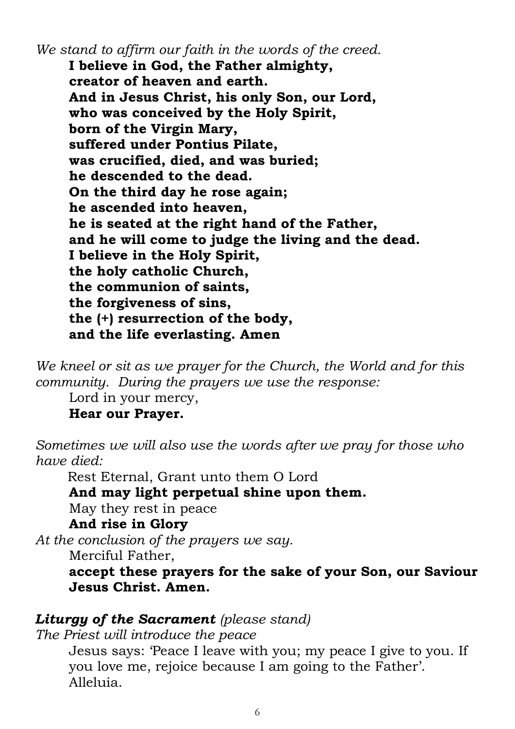*We stand to affirm our faith in the words of the creed.* **I believe in God, the Father almighty, creator of heaven and earth. And in Jesus Christ, his only Son, our Lord, who was conceived by the Holy Spirit, born of the Virgin Mary, suffered under Pontius Pilate, was crucified, died, and was buried; he descended to the dead. On the third day he rose again; he ascended into heaven, he is seated at the right hand of the Father, and he will come to judge the living and the dead. I believe in the Holy Spirit, the holy catholic Church, the communion of saints, the forgiveness of sins, the (+) resurrection of the body, and the life everlasting. Amen** 

*We kneel or sit as we prayer for the Church, the World and for this community. During the prayers we use the response:*

Lord in your mercy,

**Hear our Prayer.**

*Sometimes we will also use the words after we pray for those who have died:*

**Rest Eternal, Grant unto them O Lord** 

**And may light perpetual shine upon them.**

May they rest in peace

#### **And rise in Glory**

*At the conclusion of the prayers we say.*

Merciful Father,

**accept these prayers for the sake of your Son, our Saviour Jesus Christ. Amen.**

#### *Liturgy of the Sacrament (please stand)*

*The Priest will introduce the peace* 

Jesus says: 'Peace I leave with you; my peace I give to you. If you love me, rejoice because I am going to the Father'. Alleluia.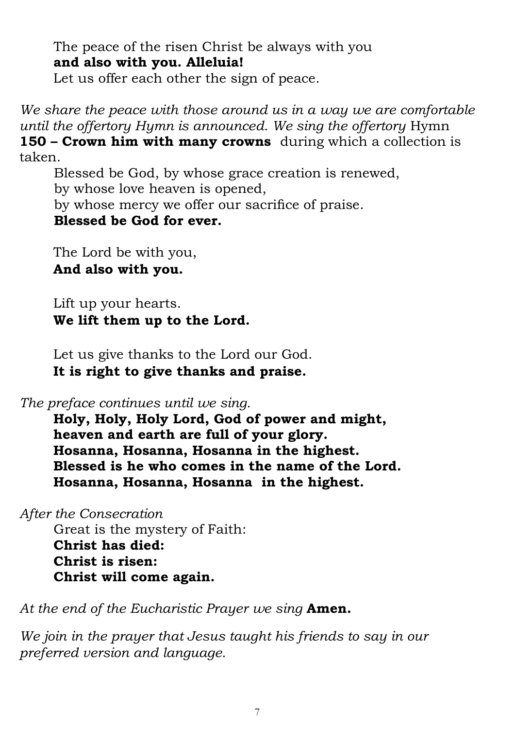The peace of the risen Christ be always with you **and also with you. Alleluia!**

Let us offer each other the sign of peace.

*We share the peace with those around us in a way we are comfortable until the offertory Hymn is announced. We sing the offertory* Hymn **150 – Crown him with many crowns** during which a collection is taken.

Blessed be God, by whose grace creation is renewed, by whose love heaven is opened, by whose mercy we offer our sacrifice of praise. **Blessed be God for ever.**

The Lord be with you, **And also with you.**

Lift up your hearts. **We lift them up to the Lord.**

Let us give thanks to the Lord our God. **It is right to give thanks and praise.**

*The preface continues until we sing.*

**Holy, Holy, Holy Lord, God of power and might, heaven and earth are full of your glory. Hosanna, Hosanna, Hosanna in the highest. Blessed is he who comes in the name of the Lord. Hosanna, Hosanna, Hosanna in the highest.**

*After the Consecration*

Great is the mystery of Faith: **Christ has died: Christ is risen: Christ will come again.** 

*At the end of the Eucharistic Prayer we sing* **Amen.**

*We join in the prayer that Jesus taught his friends to say in our preferred version and language.*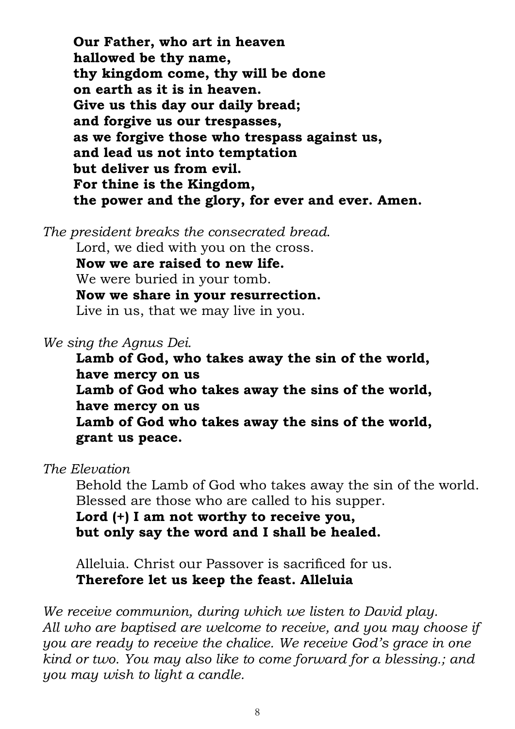**Our Father, who art in heaven hallowed be thy name, thy kingdom come, thy will be done on earth as it is in heaven. Give us this day our daily bread; and forgive us our trespasses, as we forgive those who trespass against us, and lead us not into temptation but deliver us from evil. For thine is the Kingdom, the power and the glory, for ever and ever. Amen.**

*The president breaks the consecrated bread*.

Lord, we died with you on the cross. **Now we are raised to new life.** We were buried in your tomb. **Now we share in your resurrection.** Live in us, that we may live in you.

*We sing the Agnus Dei.*

**Lamb of God, who takes away the sin of the world, have mercy on us Lamb of God who takes away the sins of the world, have mercy on us Lamb of God who takes away the sins of the world, grant us peace.**

*The Elevation* 

Behold the Lamb of God who takes away the sin of the world. Blessed are those who are called to his supper.

**Lord (+) I am not worthy to receive you, but only say the word and I shall be healed.**

Alleluia. Christ our Passover is sacrificed for us. **Therefore let us keep the feast. Alleluia**

*We receive communion, during which we listen to David play. All who are baptised are welcome to receive, and you may choose if you are ready to receive the chalice. We receive God's grace in one kind or two. You may also like to come forward for a blessing.; and you may wish to light a candle.*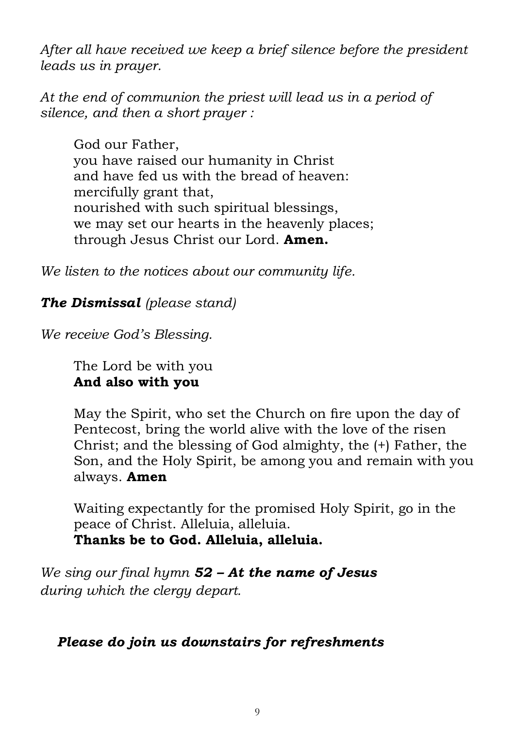*After all have received we keep a brief silence before the president leads us in prayer.*

*At the end of communion the priest will lead us in a period of silence, and then a short prayer :*

God our Father, you have raised our humanity in Christ and have fed us with the bread of heaven: mercifully grant that, nourished with such spiritual blessings, we may set our hearts in the heavenly places; through Jesus Christ our Lord. **Amen.**

*We listen to the notices about our community life.*

*The Dismissal (please stand)*

*We receive God's Blessing.*

The Lord be with you **And also with you**

May the Spirit, who set the Church on fire upon the day of Pentecost, bring the world alive with the love of the risen Christ; and the blessing of God almighty, the (+) Father, the Son, and the Holy Spirit, be among you and remain with you always. **Amen**

Waiting expectantly for the promised Holy Spirit, go in the peace of Christ. Alleluia, alleluia. **Thanks be to God. Alleluia, alleluia.**

*We sing our final hymn 52 – At the name of Jesus during which the clergy depart.* 

# *Please do join us downstairs for refreshments*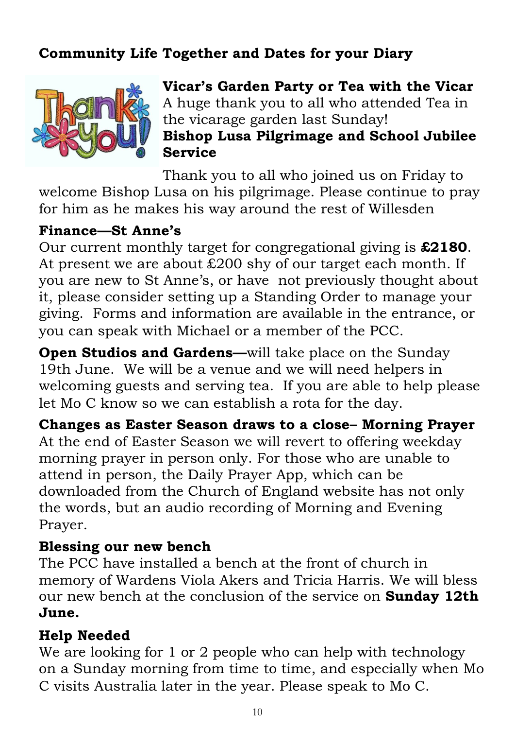# **Community Life Together and Dates for your Diary**



**Vicar's Garden Party or Tea with the Vicar** A huge thank you to all who attended Tea in the vicarage garden last Sunday! **Bishop Lusa Pilgrimage and School Jubilee Service**

Thank you to all who joined us on Friday to welcome Bishop Lusa on his pilgrimage. Please continue to pray for him as he makes his way around the rest of Willesden

#### **Finance—St Anne's**

Our current monthly target for congregational giving is **£2180**. At present we are about £200 shy of our target each month. If you are new to St Anne's, or have not previously thought about it, please consider setting up a Standing Order to manage your giving. Forms and information are available in the entrance, or you can speak with Michael or a member of the PCC.

**Open Studios and Gardens—will take place on the Sunday** 19th June. We will be a venue and we will need helpers in welcoming guests and serving tea. If you are able to help please let Mo C know so we can establish a rota for the day.

**Changes as Easter Season draws to a close– Morning Prayer** At the end of Easter Season we will revert to offering weekday morning prayer in person only. For those who are unable to attend in person, the Daily Prayer App, which can be downloaded from the Church of England website has not only the words, but an audio recording of Morning and Evening Prayer.

# **Blessing our new bench**

The PCC have installed a bench at the front of church in memory of Wardens Viola Akers and Tricia Harris. We will bless our new bench at the conclusion of the service on **Sunday 12th June.** 

# **Help Needed**

We are looking for 1 or 2 people who can help with technology on a Sunday morning from time to time, and especially when Mo C visits Australia later in the year. Please speak to Mo C.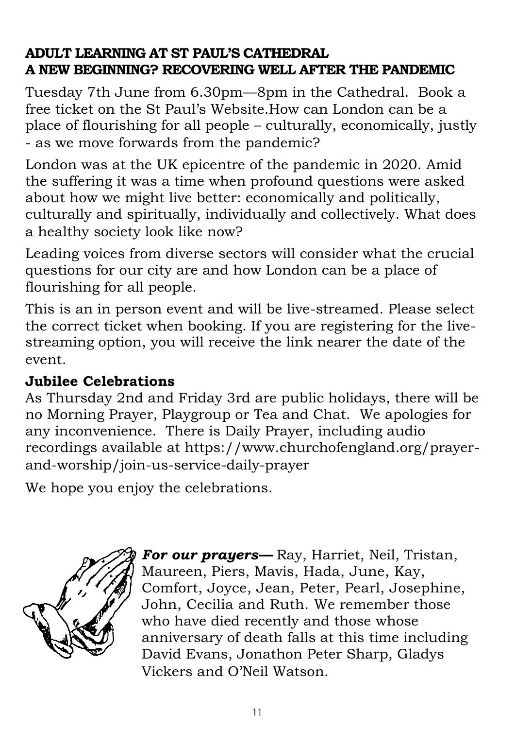# **ADULT LEARNING AT ST PAUL'S CATHEDRAL A NEW BEGINNING? RECOVERING WELL AFTER THE PANDEMIC**

Tuesday 7th June from 6.30pm—8pm in the Cathedral. Book a free ticket on the St Paul's Website.How can London can be a place of flourishing for all people – culturally, economically, justly - as we move forwards from the pandemic?

London was at the UK epicentre of the pandemic in 2020. Amid the suffering it was a time when profound questions were asked about how we might live better: economically and politically, culturally and spiritually, individually and collectively. What does a healthy society look like now?

Leading voices from diverse sectors will consider what the crucial questions for our city are and how London can be a place of flourishing for all people.

This is an in person event and will be live-streamed. Please select the correct ticket when booking. If you are registering for the livestreaming option, you will receive the link nearer the date of the event.

# **Jubilee Celebrations**

As Thursday 2nd and Friday 3rd are public holidays, there will be no Morning Prayer, Playgroup or Tea and Chat. We apologies for any inconvenience. There is Daily Prayer, including audio recordings available at https://www.churchofengland.org/prayerand-worship/join-us-service-daily-prayer

We hope you enjoy the celebrations.



*For our prayers—* Ray, Harriet, Neil, Tristan, Maureen, Piers, Mavis, Hada, June, Kay, Comfort, Joyce, Jean, Peter, Pearl, Josephine, John, Cecilia and Ruth. We remember those who have died recently and those whose anniversary of death falls at this time including David Evans, Jonathon Peter Sharp, Gladys Vickers and O'Neil Watson.